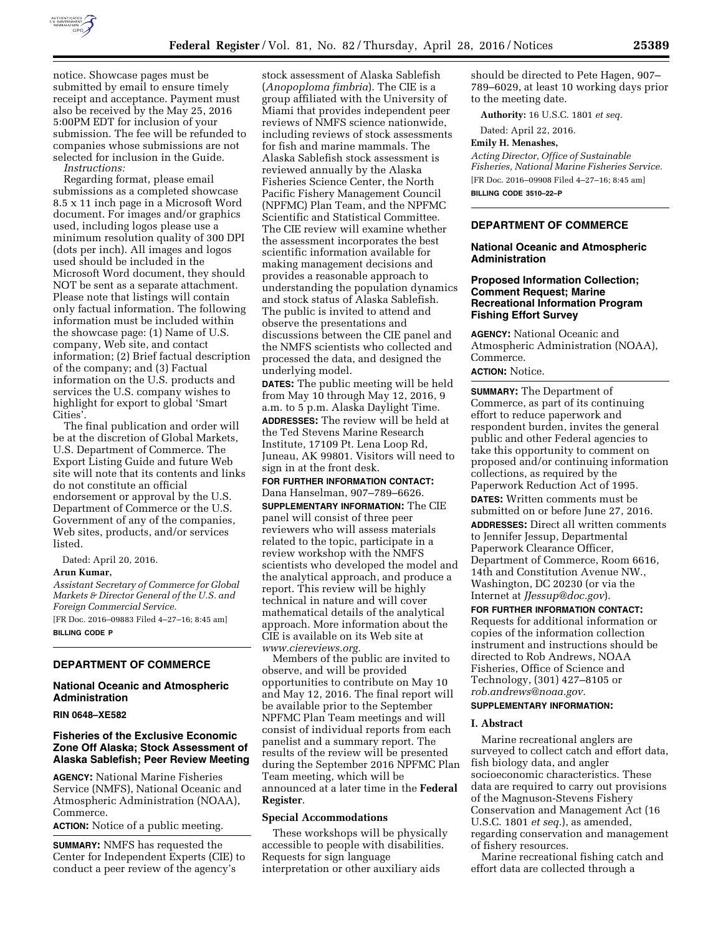

notice. Showcase pages must be submitted by email to ensure timely receipt and acceptance. Payment must also be received by the May 25, 2016 5:00PM EDT for inclusion of your submission. The fee will be refunded to companies whose submissions are not selected for inclusion in the Guide. *Instructions:* 

Regarding format, please email submissions as a completed showcase 8.5 x 11 inch page in a Microsoft Word document. For images and/or graphics used, including logos please use a minimum resolution quality of 300 DPI (dots per inch). All images and logos used should be included in the Microsoft Word document, they should NOT be sent as a separate attachment. Please note that listings will contain only factual information. The following information must be included within the showcase page: (1) Name of U.S. company, Web site, and contact information; (2) Brief factual description of the company; and (3) Factual information on the U.S. products and services the U.S. company wishes to highlight for export to global 'Smart Cities'.

The final publication and order will be at the discretion of Global Markets, U.S. Department of Commerce. The Export Listing Guide and future Web site will note that its contents and links do not constitute an official endorsement or approval by the U.S. Department of Commerce or the U.S. Government of any of the companies, Web sites, products, and/or services listed.

Dated: April 20, 2016.

# **Arun Kumar,**

*Assistant Secretary of Commerce for Global Markets & Director General of the U.S. and Foreign Commercial Service.* 

[FR Doc. 2016–09883 Filed 4–27–16; 8:45 am] **BILLING CODE P** 

# **DEPARTMENT OF COMMERCE**

#### **National Oceanic and Atmospheric Administration**

**RIN 0648–XE582** 

## **Fisheries of the Exclusive Economic Zone Off Alaska; Stock Assessment of Alaska Sablefish; Peer Review Meeting**

**AGENCY:** National Marine Fisheries Service (NMFS), National Oceanic and Atmospheric Administration (NOAA), Commerce.

**ACTION:** Notice of a public meeting.

**SUMMARY:** NMFS has requested the Center for Independent Experts (CIE) to conduct a peer review of the agency's

stock assessment of Alaska Sablefish (*Anopoploma fimbria*). The CIE is a group affiliated with the University of Miami that provides independent peer reviews of NMFS science nationwide, including reviews of stock assessments for fish and marine mammals. The Alaska Sablefish stock assessment is reviewed annually by the Alaska Fisheries Science Center, the North Pacific Fishery Management Council (NPFMC) Plan Team, and the NPFMC Scientific and Statistical Committee. The CIE review will examine whether the assessment incorporates the best scientific information available for making management decisions and provides a reasonable approach to understanding the population dynamics and stock status of Alaska Sablefish. The public is invited to attend and observe the presentations and discussions between the CIE panel and the NMFS scientists who collected and processed the data, and designed the underlying model.

**DATES:** The public meeting will be held from May 10 through May 12, 2016, 9 a.m. to 5 p.m. Alaska Daylight Time. **ADDRESSES:** The review will be held at the Ted Stevens Marine Research Institute, 17109 Pt. Lena Loop Rd, Juneau, AK 99801. Visitors will need to sign in at the front desk.

**FOR FURTHER INFORMATION CONTACT:**  Dana Hanselman, 907–789–6626.

**SUPPLEMENTARY INFORMATION:** The CIE panel will consist of three peer reviewers who will assess materials related to the topic, participate in a review workshop with the NMFS scientists who developed the model and the analytical approach, and produce a report. This review will be highly technical in nature and will cover mathematical details of the analytical approach. More information about the CIE is available on its Web site at *[www.ciereviews.org.](http://www.ciereviews.org)* 

Members of the public are invited to observe, and will be provided opportunities to contribute on May 10 and May 12, 2016. The final report will be available prior to the September NPFMC Plan Team meetings and will consist of individual reports from each panelist and a summary report. The results of the review will be presented during the September 2016 NPFMC Plan Team meeting, which will be announced at a later time in the **Federal Register**.

#### **Special Accommodations**

These workshops will be physically accessible to people with disabilities. Requests for sign language interpretation or other auxiliary aids

should be directed to Pete Hagen, 907– 789–6029, at least 10 working days prior to the meeting date.

**Authority:** 16 U.S.C. 1801 *et seq.* 

Dated: April 22, 2016.

**Emily H. Menashes,** 

*Acting Director, Office of Sustainable Fisheries, National Marine Fisheries Service.*  [FR Doc. 2016–09908 Filed 4–27–16; 8:45 am] **BILLING CODE 3510–22–P** 

# **DEPARTMENT OF COMMERCE**

## **National Oceanic and Atmospheric Administration**

## **Proposed Information Collection; Comment Request; Marine Recreational Information Program Fishing Effort Survey**

**AGENCY:** National Oceanic and Atmospheric Administration (NOAA), Commerce. **ACTION:** Notice.

**SUMMARY:** The Department of Commerce, as part of its continuing effort to reduce paperwork and respondent burden, invites the general public and other Federal agencies to take this opportunity to comment on proposed and/or continuing information collections, as required by the Paperwork Reduction Act of 1995. **DATES:** Written comments must be

submitted on or before June 27, 2016.

**ADDRESSES:** Direct all written comments to Jennifer Jessup, Departmental Paperwork Clearance Officer, Department of Commerce, Room 6616, 14th and Constitution Avenue NW., Washington, DC 20230 (or via the Internet at *[JJessup@doc.gov](mailto:JJessup@doc.gov)*).

**FOR FURTHER INFORMATION CONTACT:**  Requests for additional information or copies of the information collection instrument and instructions should be directed to Rob Andrews, NOAA Fisheries, Office of Science and Technology, (301) 427–8105 or *[rob.andrews@noaa.gov.](mailto:rob.andrews@noaa.gov)* 

# **SUPPLEMENTARY INFORMATION:**

## **I. Abstract**

Marine recreational anglers are surveyed to collect catch and effort data, fish biology data, and angler socioeconomic characteristics. These data are required to carry out provisions of the Magnuson-Stevens Fishery Conservation and Management Act (16 U.S.C. 1801 *et seq.*), as amended, regarding conservation and management of fishery resources.

Marine recreational fishing catch and effort data are collected through a